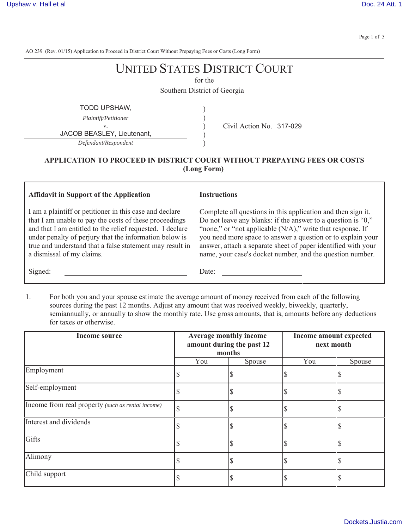Page 1 of 5

AO 239 (Rev. 01/15) Application to Proceed in District Court Without Prepaying Fees or Costs (Long Form)

# UNITED STATES DISTRICT COURT

for the

Southern District of Georgia

| TODD UPSHAW.                |                          |
|-----------------------------|--------------------------|
| <i>Plaintiff/Petitioner</i> |                          |
|                             | Civil Action No. 317-029 |
| JACOB BEASLEY, Lieutenant,  |                          |
| Defendant/Respondent        |                          |

### **APPLICATION TO PROCEED IN DISTRICT COURT WITHOUT PREPAYING FEES OR COSTS (Long Form)**

#### **Affidavit in Support of the Application**

I am a plaintiff or petitioner in this case and declare that I am unable to pay the costs of these proceedings and that I am entitled to the relief requested. I declare under penalty of perjury that the information below is true and understand that a false statement may result in a dismissal of my claims.

#### **Instructions**

Complete all questions in this application and then sign it. Do not leave any blanks: if the answer to a question is "0," "none," or "not applicable (N/A)," write that response. If you need more space to answer a question or to explain your answer, attach a separate sheet of paper identified with your name, your case's docket number, and the question number.

Signed: Date:

1. For both you and your spouse estimate the average amount of money received from each of the following sources during the past 12 months. Adjust any amount that was received weekly, biweekly, quarterly, semiannually, or annually to show the monthly rate. Use gross amounts, that is, amounts before any deductions for taxes or otherwise.

| Income source                                     | Average monthly income<br>amount during the past 12<br>months |        | Income amount expected<br>next month |        |
|---------------------------------------------------|---------------------------------------------------------------|--------|--------------------------------------|--------|
|                                                   | You                                                           | Spouse | You                                  | Spouse |
| Employment                                        |                                                               |        |                                      |        |
| Self-employment                                   |                                                               |        |                                      |        |
| Income from real property (such as rental income) |                                                               |        |                                      |        |
| Interest and dividends                            |                                                               |        |                                      |        |
| Gifts                                             |                                                               |        |                                      |        |
| Alimony                                           |                                                               |        |                                      |        |
| Child support                                     |                                                               |        |                                      |        |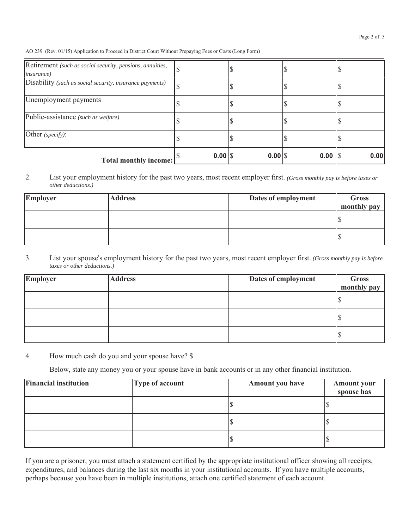| Retirement (such as social security, pensions, annuities,<br><i>insurance</i> ) |           |        |      |      |
|---------------------------------------------------------------------------------|-----------|--------|------|------|
| Disability (such as social security, insurance payments)                        |           |        |      |      |
| Unemployment payments                                                           |           |        |      |      |
| Public-assistance (such as welfare)                                             |           |        |      |      |
| Other (specify):                                                                |           |        |      |      |
| <b>Total monthly income:</b>                                                    | $0.00$ \\ | $0.00$ | 0.00 | 0.00 |

2. List your employment history for the past two years, most recent employer first. *(Gross monthly pay is before taxes or other deductions.)*

| Employer | <b>Address</b> | Dates of employment | Gross<br>monthly pay |
|----------|----------------|---------------------|----------------------|
|          |                |                     |                      |
|          |                |                     |                      |

3. List your spouse's employment history for the past two years, most recent employer first. *(Gross monthly pay is before taxes or other deductions.)*

| <b>Employer</b> | <b>Address</b> | Dates of employment | Gross<br>monthly pay |
|-----------------|----------------|---------------------|----------------------|
|                 |                |                     |                      |
|                 |                |                     |                      |
|                 |                |                     |                      |

4. How much cash do you and your spouse have? \$

Below, state any money you or your spouse have in bank accounts or in any other financial institution.

| <b>Financial institution</b> | <b>Type of account</b> | <b>Amount you have</b> | <b>Amount your</b><br>spouse has |
|------------------------------|------------------------|------------------------|----------------------------------|
|                              |                        |                        |                                  |
|                              |                        |                        |                                  |
|                              |                        |                        |                                  |

If you are a prisoner, you must attach a statement certified by the appropriate institutional officer showing all receipts, expenditures, and balances during the last six months in your institutional accounts. If you have multiple accounts, perhaps because you have been in multiple institutions, attach one certified statement of each account.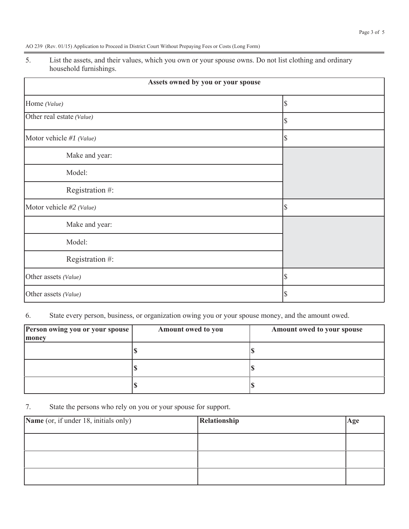5. List the assets, and their values, which you own or your spouse owns. Do not list clothing and ordinary household furnishings.

| Assets owned by you or your spouse |    |  |
|------------------------------------|----|--|
| Home (Value)                       | \$ |  |
| Other real estate (Value)          | \$ |  |
| Motor vehicle #1 (Value)           | \$ |  |
| Make and year:                     |    |  |
| Model:                             |    |  |
| Registration #:                    |    |  |
| Motor vehicle #2 (Value)           | \$ |  |
| Make and year:                     |    |  |
| Model:                             |    |  |
| Registration #:                    |    |  |
| Other assets (Value)               | \$ |  |
| Other assets (Value)               | \$ |  |

## 6. State every person, business, or organization owing you or your spouse money, and the amount owed.

| Person owing you or your spouse<br>money | Amount owed to you | Amount owed to your spouse |
|------------------------------------------|--------------------|----------------------------|
|                                          |                    |                            |
|                                          |                    |                            |
|                                          |                    |                            |

7. State the persons who rely on you or your spouse for support.

| Name (or, if under 18, initials only) | Relationship | Age |
|---------------------------------------|--------------|-----|
|                                       |              |     |
|                                       |              |     |
|                                       |              |     |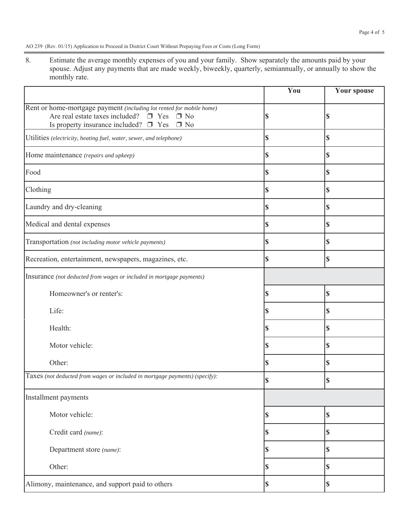8. Estimate the average monthly expenses of you and your family. Show separately the amounts paid by your spouse. Adjust any payments that are made weekly, biweekly, quarterly, semiannually, or annually to show the monthly rate.

|                                                                                                                                                                                      | You | <b>Your spouse</b> |
|--------------------------------------------------------------------------------------------------------------------------------------------------------------------------------------|-----|--------------------|
| Rent or home-mortgage payment (including lot rented for mobile home)<br>Are real estate taxes included? $\Box$ Yes $\Box$ No<br>Is property insurance included? $\Box$ Yes $\Box$ No |     | \$                 |
| Utilities (electricity, heating fuel, water, sewer, and telephone)                                                                                                                   | S   | \$                 |
| Home maintenance (repairs and upkeep)                                                                                                                                                | S   | \$                 |
| Food                                                                                                                                                                                 | \$  | \$                 |
| Clothing                                                                                                                                                                             | S   | \$                 |
| Laundry and dry-cleaning                                                                                                                                                             | S   | \$                 |
| Medical and dental expenses                                                                                                                                                          | \$  | \$                 |
| Transportation (not including motor vehicle payments)                                                                                                                                | S   | \$                 |
| Recreation, entertainment, newspapers, magazines, etc.                                                                                                                               | \$  | \$                 |
| Insurance (not deducted from wages or included in mortgage payments)                                                                                                                 |     |                    |
| Homeowner's or renter's:                                                                                                                                                             |     | \$                 |
| Life:                                                                                                                                                                                |     | \$                 |
| Health:                                                                                                                                                                              |     | \$                 |
| Motor vehicle:                                                                                                                                                                       |     | \$                 |
| Other:                                                                                                                                                                               |     | \$                 |
| Taxes (not deducted from wages or included in mortgage payments) (specify):                                                                                                          |     | \$                 |
| Installment payments                                                                                                                                                                 |     |                    |
| Motor vehicle:                                                                                                                                                                       |     | \$                 |
| Credit card (name):                                                                                                                                                                  |     | \$                 |
| Department store (name):                                                                                                                                                             |     | \$                 |
| Other:                                                                                                                                                                               | \$  | \$                 |
| Alimony, maintenance, and support paid to others                                                                                                                                     | \$  | \$                 |